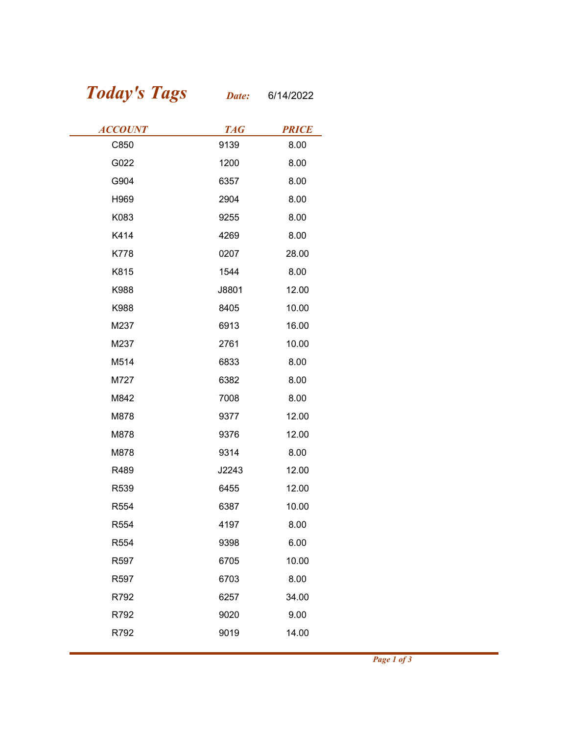## Today's Tags Date: 6/14/2022

| <b>Today's Tags</b> | Date:      | 6/14/2022    |  |
|---------------------|------------|--------------|--|
| <b>ACCOUNT</b>      | <b>TAG</b> | <b>PRICE</b> |  |
| C850                | 9139       | 8.00         |  |
| G022                | 1200       | 8.00         |  |
| G904                | 6357       | 8.00         |  |
| H969                | 2904       | 8.00         |  |
| K083                | 9255       | 8.00         |  |
| K414                | 4269       | 8.00         |  |
| <b>K778</b>         | 0207       | 28.00        |  |
| K815                | 1544       | 8.00         |  |
| K988                | J8801      | 12.00        |  |
| K988                | 8405       | 10.00        |  |
| M237                | 6913       | 16.00        |  |
| M237                | 2761       | 10.00        |  |
| M514                | 6833       | 8.00         |  |
| M727                | 6382       | 8.00         |  |
| M842                | 7008       | 8.00         |  |
| M878                | 9377       | 12.00        |  |
| M878                | 9376       | 12.00        |  |
| M878                | 9314       | 8.00         |  |
| R489                | J2243      | 12.00        |  |
| R539                | 6455       | 12.00        |  |
| R554                | 6387       | 10.00        |  |
| R554                | 4197       | 8.00         |  |
| R554                | 9398       | 6.00         |  |
| R597                | 6705       | 10.00        |  |
| R597                | 6703       | 8.00         |  |
| R792                | 6257       | 34.00        |  |
| R792                | 9020       | 9.00         |  |
| R792                | 9019       | 14.00        |  |
|                     |            |              |  |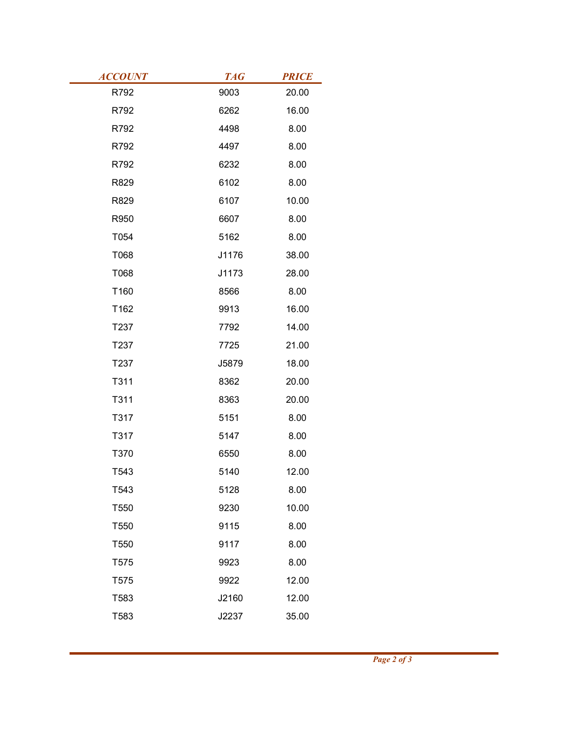| <b>ACCOUNT</b> | <b>TAG</b> | <b>PRICE</b> |
|----------------|------------|--------------|
| R792           | 9003       | 20.00        |
| R792           | 6262       | 16.00        |
| R792           | 4498       | 8.00         |
| R792           | 4497       | 8.00         |
| R792           | 6232       | 8.00         |
| R829           | 6102       | 8.00         |
| R829           | 6107       | 10.00        |
| R950           | 6607       | 8.00         |
| T054           | 5162       | 8.00         |
| T068           | J1176      | 38.00        |
| T068           | J1173      | 28.00        |
| T160           | 8566       | 8.00         |
| T162           | 9913       | 16.00        |
| T237           | 7792       | 14.00        |
| T237           | 7725       | 21.00        |
| T237           | J5879      | 18.00        |
| T311           | 8362       | 20.00        |
| T311           | 8363       | 20.00        |
| T317           | 5151       | 8.00         |
| T317           | 5147       | 8.00         |
| T370           | 6550       | 8.00         |
| T543           | 5140       | 12.00        |
| T543           | 5128       | 8.00         |
| T550           | 9230       | 10.00        |
| T550           | 9115       | 8.00         |
| T550           | 9117       | 8.00         |
| T575           | 9923       | 8.00         |
| T575           | 9922       | 12.00        |
| T583           | J2160      | 12.00        |
| T583           | J2237      | 35.00        |